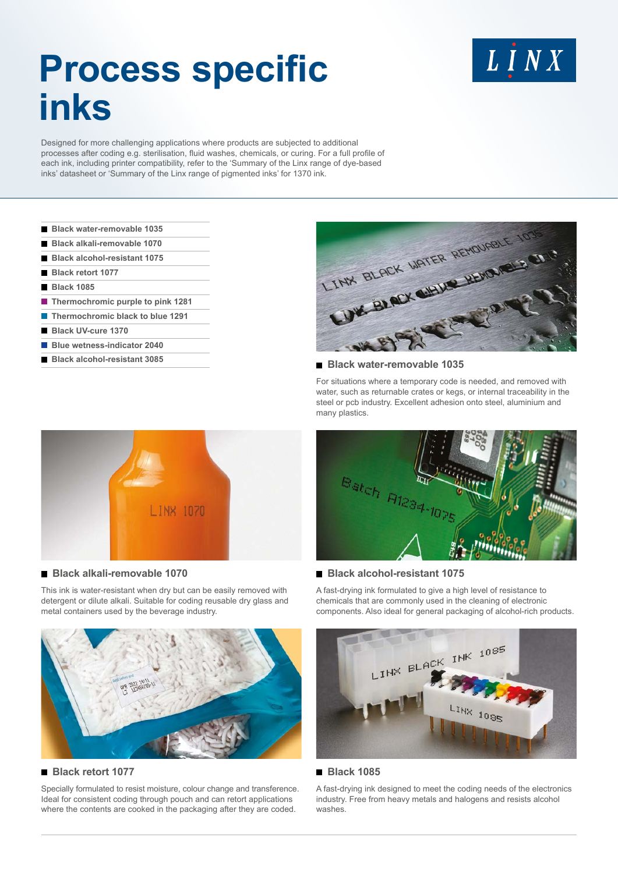# **Process specific inks**

LINX

Designed for more challenging applications where products are subjected to additional processes after coding e.g. sterilisation, fluid washes, chemicals, or curing. For a full profile of each ink, including printer compatibility, refer to the 'Summary of the Linx range of dye-based inks' datasheet or 'Summary of the Linx range of pigmented inks' for 1370 ink.

- **Black water-removable 1035**
- **Black alkali-removable 1070**
- **Black alcohol-resistant 1075**
- **Black retort 1077**
- **Black 1085**
- **Thermochromic purple to pink 1281**
- **Thermochromic black to blue 1291**
- **Black UV-cure 1370**
- **Blue wetness-indicator 2040**
- **Black alcohol-resistant 3085**



#### **Black water-removable 1035**

For situations where a temporary code is needed, and removed with water, such as returnable crates or kegs, or internal traceability in the steel or pcb industry. Excellent adhesion onto steel, aluminium and many plastics.



#### **Black alcohol-resistant 1075**

A fast-drying ink formulated to give a high level of resistance to chemicals that are commonly used in the cleaning of electronic components. Also ideal for general packaging of alcohol-rich products.



#### **Black 1085**

A fast-drying ink designed to meet the coding needs of the electronics industry. Free from heavy metals and halogens and resists alcohol washes.



#### **Black alkali-removable 1070**

This ink is water-resistant when dry but can be easily removed with detergent or dilute alkali. Suitable for coding reusable dry glass and metal containers used by the beverage industry.



# **Black retort 1077**

Specially formulated to resist moisture, colour change and transference. Ideal for consistent coding through pouch and can retort applications where the contents are cooked in the packaging after they are coded.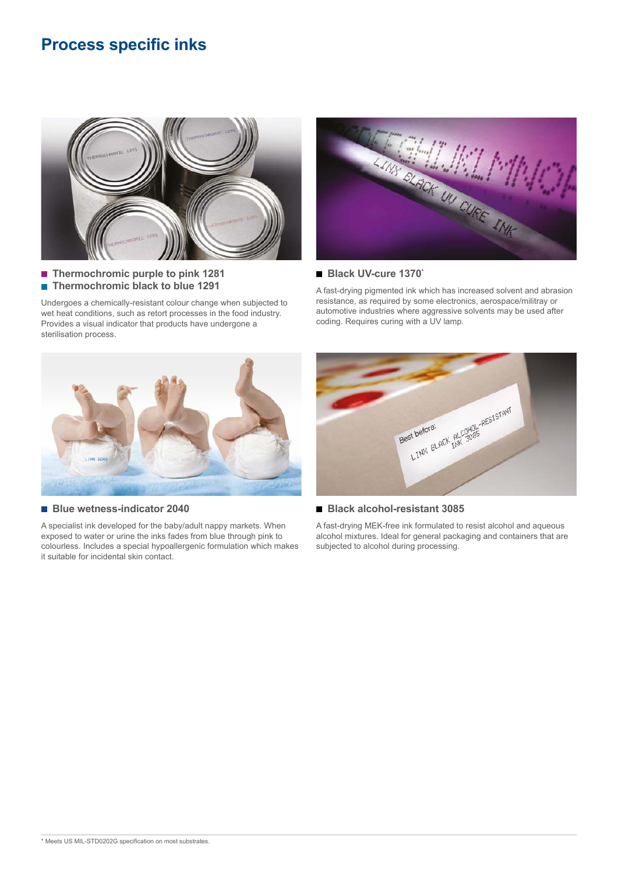# **Process specific inks**



■ Thermochromic purple to pink 1281 **Thermochromic black to blue 1291** 

Undergoes a chemically-resistant colour change when subjected to wet heat conditions, such as retort processes in the food industry. Provides a visual indicator that products have undergone a sterilisation process.



#### **Black UV-cure 1370\***

A fast-drying pigmented ink which has increased solvent and abrasion resistance, as required by some electronics, aerospace/militray or automotive industries where aggressive solvents may be used after coding. Requires curing with a UV lamp.



#### **Blue wetness-indicator 2040**

A specialist ink developed for the baby/adult nappy markets. When exposed to water or urine the inks fades from blue through pink to colourless. Includes a special hypoallergenic formulation which makes it suitable for incidental skin contact.



# **Black alcohol-resistant 3085**

A fast-drying MEK-free ink formulated to resist alcohol and aqueous alcohol mixtures. Ideal for general packaging and containers that are subjected to alcohol during processing.